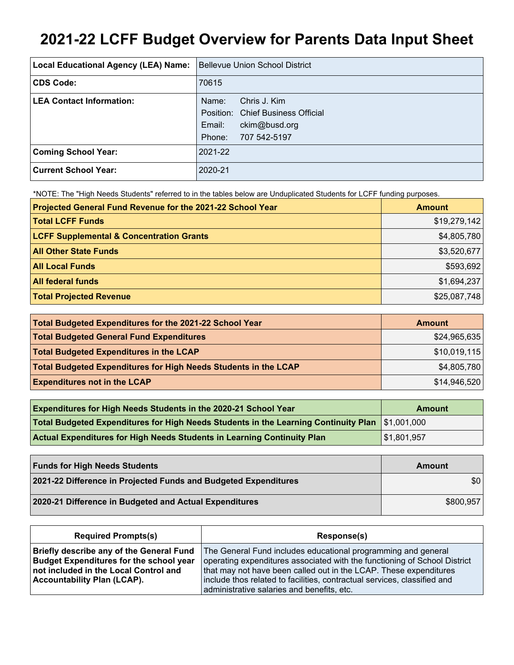# **2021-22 LCFF Budget Overview for Parents Data Input Sheet**

| Local Educational Agency (LEA) Name: | <b>Bellevue Union School District</b> |
|--------------------------------------|---------------------------------------|
| <b>CDS Code:</b>                     | 70615                                 |
| <b>LEA Contact Information:</b>      | Chris J. Kim<br>Name:                 |
|                                      | Position: Chief Business Official     |
|                                      | Email:<br>ckim@busd.org               |
|                                      | 707 542-5197<br>Phone:                |
| <b>Coming School Year:</b>           | 2021-22                               |
| Current School Year:                 | 2020-21                               |

\*NOTE: The "High Needs Students" referred to in the tables below are Unduplicated Students for LCFF funding purposes.

| Projected General Fund Revenue for the 2021-22 School Year | <b>Amount</b> |
|------------------------------------------------------------|---------------|
| <b>Total LCFF Funds</b>                                    | \$19,279,142  |
| <b>LCFF Supplemental &amp; Concentration Grants</b>        | \$4,805,780   |
| <b>All Other State Funds</b>                               | \$3,520,677   |
| <b>All Local Funds</b>                                     | \$593,692     |
| <b>All federal funds</b>                                   | \$1,694,237   |
| <b>Total Projected Revenue</b>                             | \$25,087,748  |

| Total Budgeted Expenditures for the 2021-22 School Year         | <b>Amount</b> |
|-----------------------------------------------------------------|---------------|
| <b>Total Budgeted General Fund Expenditures</b>                 | \$24,965,635  |
| <b>Total Budgeted Expenditures in the LCAP</b>                  | \$10,019,115  |
| Total Budgeted Expenditures for High Needs Students in the LCAP | \$4,805,780   |
| <b>Expenditures not in the LCAP</b>                             | \$14,946,520  |

| <b>Expenditures for High Needs Students in the 2020-21 School Year</b>                         | <b>Amount</b>             |
|------------------------------------------------------------------------------------------------|---------------------------|
| Total Budgeted Expenditures for High Needs Students in the Learning Continuity Plan 51,001,000 |                           |
| Actual Expenditures for High Needs Students in Learning Continuity Plan                        | $\frac{1}{1}$ \$1,801,957 |

| <b>Funds for High Needs Students</b>                            | Amount    |
|-----------------------------------------------------------------|-----------|
| 2021-22 Difference in Projected Funds and Budgeted Expenditures | \$0       |
| 2020-21 Difference in Budgeted and Actual Expenditures          | \$800,957 |

| <b>Required Prompts(s)</b>                      | Response(s)                                                               |
|-------------------------------------------------|---------------------------------------------------------------------------|
| <b>Briefly describe any of the General Fund</b> | The General Fund includes educational programming and general             |
| <b>Budget Expenditures for the school year</b>  | operating expenditures associated with the functioning of School District |
| not included in the Local Control and           | that may not have been called out in the LCAP. These expenditures         |
| <b>Accountability Plan (LCAP).</b>              | include thos related to facilities, contractual services, classified and  |
|                                                 | administrative salaries and benefits, etc.                                |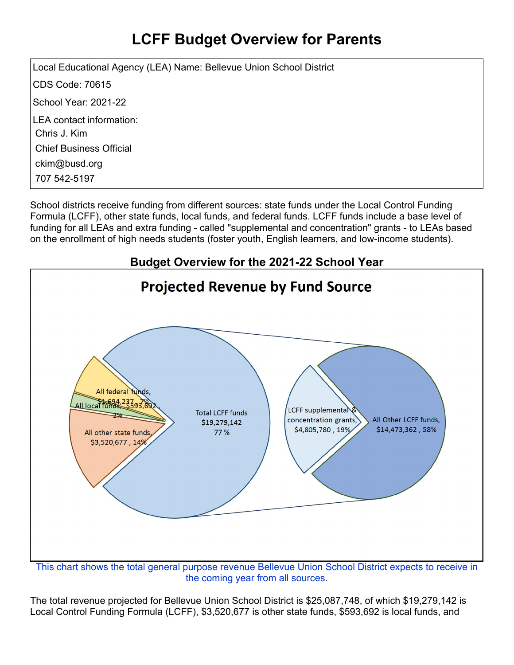## **LCFF Budget Overview for Parents**

Local Educational Agency (LEA) Name: Bellevue Union School District CDS Code: 70615 School Year: 2021-22 LEA contact information: Chris J. Kim Chief Business Official ckim@busd.org 707 542-5197

School districts receive funding from different sources: state funds under the Local Control Funding Formula (LCFF), other state funds, local funds, and federal funds. LCFF funds include a base level of funding for all LEAs and extra funding - called "supplemental and concentration" grants - to LEAs based on the enrollment of high needs students (foster youth, English learners, and low-income students).



This chart shows the total general purpose revenue Bellevue Union School District expects to receive in the coming year from all sources.

The total revenue projected for Bellevue Union School District is \$25,087,748, of which \$19,279,142 is Local Control Funding Formula (LCFF), \$3,520,677 is other state funds, \$593,692 is local funds, and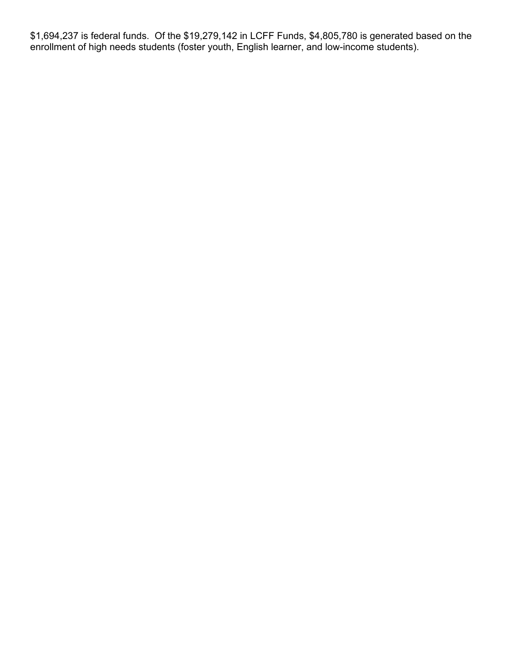\$1,694,237 is federal funds. Of the \$19,279,142 in LCFF Funds, \$4,805,780 is generated based on the enrollment of high needs students (foster youth, English learner, and low-income students).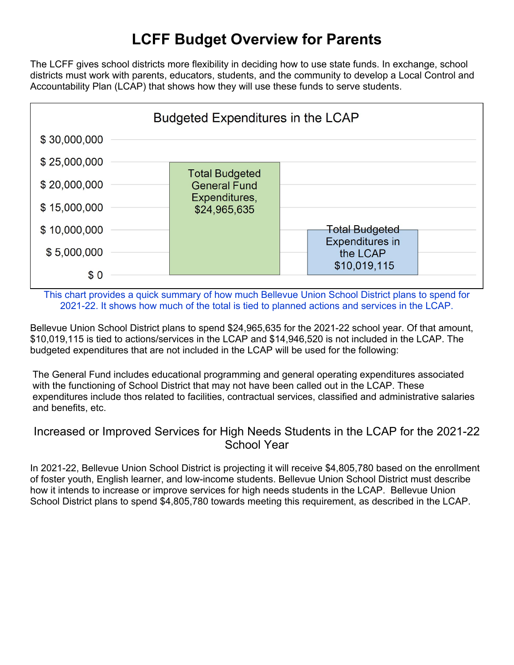## **LCFF Budget Overview for Parents**

The LCFF gives school districts more flexibility in deciding how to use state funds. In exchange, school districts must work with parents, educators, students, and the community to develop a Local Control and Accountability Plan (LCAP) that shows how they will use these funds to serve students.



This chart provides a quick summary of how much Bellevue Union School District plans to spend for 2021-22. It shows how much of the total is tied to planned actions and services in the LCAP.

Bellevue Union School District plans to spend \$24,965,635 for the 2021-22 school year. Of that amount, \$10,019,115 is tied to actions/services in the LCAP and \$14,946,520 is not included in the LCAP. The budgeted expenditures that are not included in the LCAP will be used for the following:

The General Fund includes educational programming and general operating expenditures associated with the functioning of School District that may not have been called out in the LCAP. These expenditures include thos related to facilities, contractual services, classified and administrative salaries and benefits, etc.

#### Increased or Improved Services for High Needs Students in the LCAP for the 2021-22 School Year

In 2021-22, Bellevue Union School District is projecting it will receive \$4,805,780 based on the enrollment of foster youth, English learner, and low-income students. Bellevue Union School District must describe how it intends to increase or improve services for high needs students in the LCAP. Bellevue Union School District plans to spend \$4,805,780 towards meeting this requirement, as described in the LCAP.